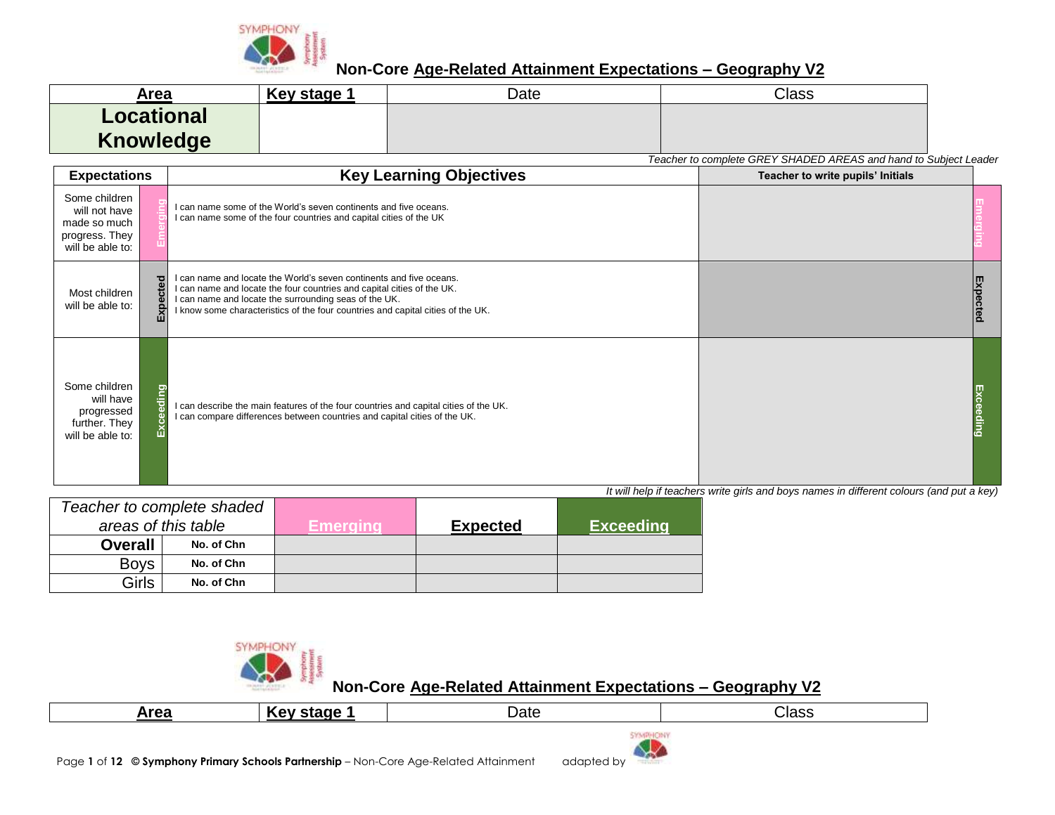

| Area              | Key stage | Date | Class |
|-------------------|-----------|------|-------|
| <b>Locational</b> |           |      |       |
| <b>Knowledge</b>  |           |      |       |

*Teacher to complete GREY SHADED AREAS and hand to Subject Leader*

| <b>Expectations</b>                                                                  |              | <b>Key Learning Objectives</b>                                                                                                                                                                                                                                                            | Teacher to write pupils' Initials |  |
|--------------------------------------------------------------------------------------|--------------|-------------------------------------------------------------------------------------------------------------------------------------------------------------------------------------------------------------------------------------------------------------------------------------------|-----------------------------------|--|
| Some children<br>will not have<br>made so much<br>progress. They<br>will be able to: |              | I can name some of the World's seven continents and five oceans.<br>I can name some of the four countries and capital cities of the UK                                                                                                                                                    |                                   |  |
| Most children<br>will be able to:                                                    | ਹ<br>ិដ<br>囚 | I can name and locate the World's seven continents and five oceans.<br>I can name and locate the four countries and capital cities of the UK.<br>I can name and locate the surrounding seas of the UK.<br>I know some characteristics of the four countries and capital cities of the UK. |                                   |  |
| Some children<br>will have<br>progressed<br>further. They<br>will be able to:        | ŧ            | I can describe the main features of the four countries and capital cities of the UK.<br>I can compare differences between countries and capital cities of the UK.                                                                                                                         |                                   |  |

*It will help if teachers write girls and boys names in different colours (and put a key)*

|                | Teacher to complete shaded |          |                 |                  |
|----------------|----------------------------|----------|-----------------|------------------|
|                | areas of this table        | Emeraina | <b>Expected</b> | <b>Exceeding</b> |
| <b>Overall</b> | No. of Chn                 |          |                 |                  |
| <b>Boys</b>    | No. of Chn                 |          |                 |                  |
| Girls          | No. of Chn                 |          |                 |                  |



| Area | :taga<br><b>Key</b> | Jate                        | Class |
|------|---------------------|-----------------------------|-------|
|      |                     | <b>PERMIT COMMUNICATION</b> |       |

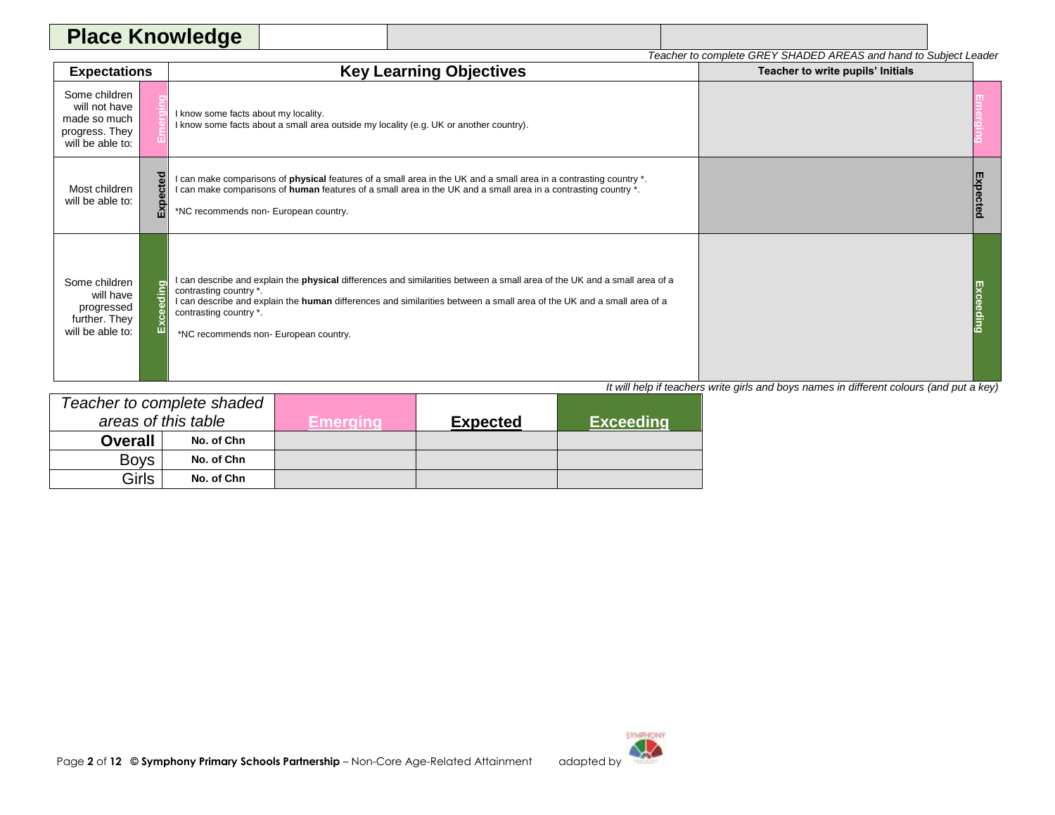| Place Knu.<br>$\bullet$ . $\bullet$ . $\rightleftarrows$ |  |                                                                                     |  |
|----------------------------------------------------------|--|-------------------------------------------------------------------------------------|--|
|                                                          |  | Y SHADED AREAS and hand to Subiect Leader<br>r to complete GREY<br>וח שי<br>Teacher |  |

| <b>Expectations</b>                                                                  |            | <b>Key Learning Objectives</b>                                                                                                                                                                                                                                                                                                                          | Teacher to write pupils' Initials |  |
|--------------------------------------------------------------------------------------|------------|---------------------------------------------------------------------------------------------------------------------------------------------------------------------------------------------------------------------------------------------------------------------------------------------------------------------------------------------------------|-----------------------------------|--|
| Some children<br>will not have<br>made so much<br>progress. They<br>will be able to: |            | I know some facts about my locality.<br>I know some facts about a small area outside my locality (e.g. UK or another country).                                                                                                                                                                                                                          |                                   |  |
| Most children<br>will be able to:                                                    | ected<br>囚 | I can make comparisons of <b>physical</b> features of a small area in the UK and a small area in a contrasting country *.<br>I can make comparisons of human features of a small area in the UK and a small area in a contrasting country *.<br>*NC recommends non- European country.                                                                   |                                   |  |
| Some children<br>will have<br>progressed<br>further. They<br>will be able to:        | ding<br>யி | I can describe and explain the <b>physical</b> differences and similarities between a small area of the UK and a small area of a<br>contrasting country *.<br>I can describe and explain the human differences and similarities between a small area of the UK and a small area of a<br>contrasting country *.<br>*NC recommends non- European country. |                                   |  |

|                | Teacher to complete shaded |           |                 |                  |
|----------------|----------------------------|-----------|-----------------|------------------|
|                | areas of this table        | Emeraina. | <b>Expected</b> | <b>Exceeding</b> |
| <b>Overall</b> | No. of Chn                 |           |                 |                  |
| <b>Boys</b>    | No. of Chn                 |           |                 |                  |
| Girls          | No. of Chn                 |           |                 |                  |

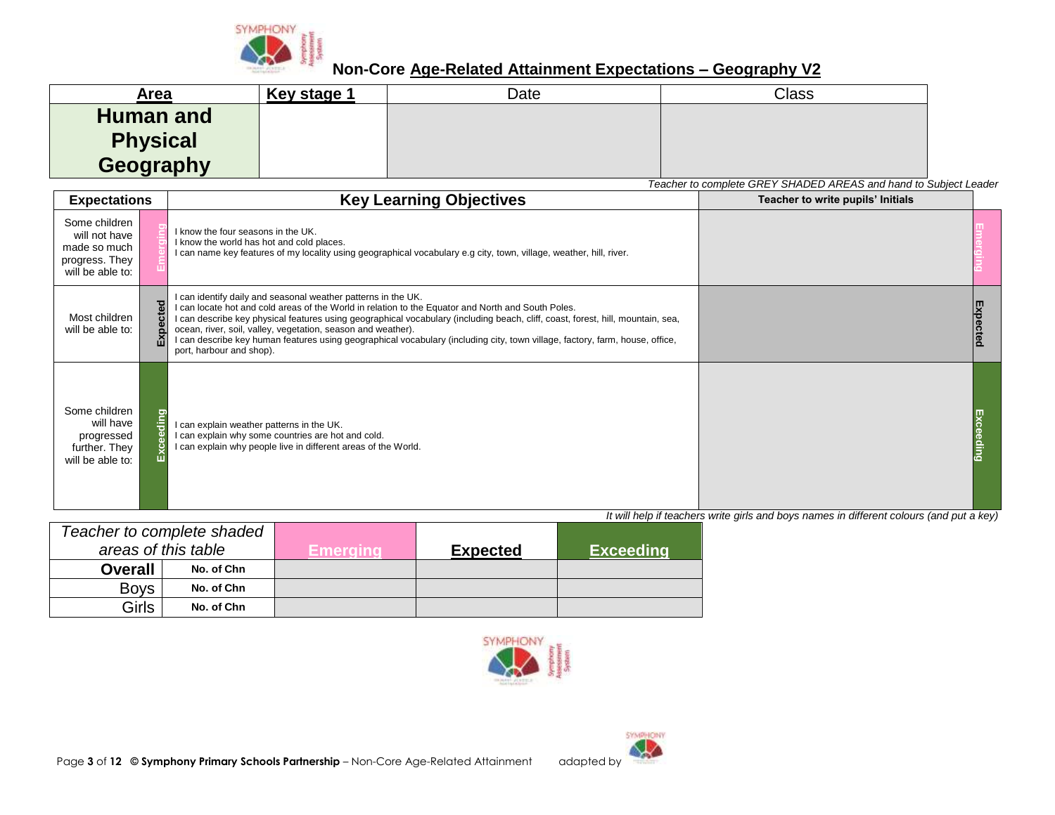

| Area                                             | Key stage 1 | Date | <b>Class</b> |
|--------------------------------------------------|-------------|------|--------------|
| <b>Human and</b><br><b>Physical</b><br>Geography |             |      |              |

*Teacher to complete GREY SHADED AREAS and hand to Subject Leader*

| <b>Expectations</b>                                                                  |                  | <b>Key Learning Objectives</b>                                                                                                                                                                                                                                                                                                                                                                                                                                                                                                     | Teacher to write pupils' Initials |  |
|--------------------------------------------------------------------------------------|------------------|------------------------------------------------------------------------------------------------------------------------------------------------------------------------------------------------------------------------------------------------------------------------------------------------------------------------------------------------------------------------------------------------------------------------------------------------------------------------------------------------------------------------------------|-----------------------------------|--|
| Some children<br>will not have<br>made so much<br>progress. They<br>will be able to: |                  | I know the four seasons in the UK.<br>I know the world has hot and cold places.<br>I can name key features of my locality using geographical vocabulary e.g city, town, village, weather, hill, river.                                                                                                                                                                                                                                                                                                                             |                                   |  |
| Most children<br>will be able to:                                                    | pected<br>ΕX     | I can identify daily and seasonal weather patterns in the UK.<br>I can locate hot and cold areas of the World in relation to the Equator and North and South Poles.<br>I can describe key physical features using geographical vocabulary (including beach, cliff, coast, forest, hill, mountain, sea,<br>ocean, river, soil, valley, vegetation, season and weather).<br>I can describe key human features using geographical vocabulary (including city, town village, factory, farm, house, office,<br>port, harbour and shop). |                                   |  |
| Some children<br>will have<br>progressed<br>further. They<br>will be able to:        | ding<br>စ္ယ<br>ō | I can explain weather patterns in the UK.<br>I can explain why some countries are hot and cold.<br>I can explain why people live in different areas of the World.                                                                                                                                                                                                                                                                                                                                                                  |                                   |  |

| Teacher to complete shaded |            |          |                 |                  |
|----------------------------|------------|----------|-----------------|------------------|
| areas of this table        |            | Emeraina | <b>Expected</b> | <b>Exceeding</b> |
| <b>Overall</b>             | No. of Chn |          |                 |                  |
| <b>Boys</b>                | No. of Chn |          |                 |                  |
| Girls                      | No. of Chn |          |                 |                  |



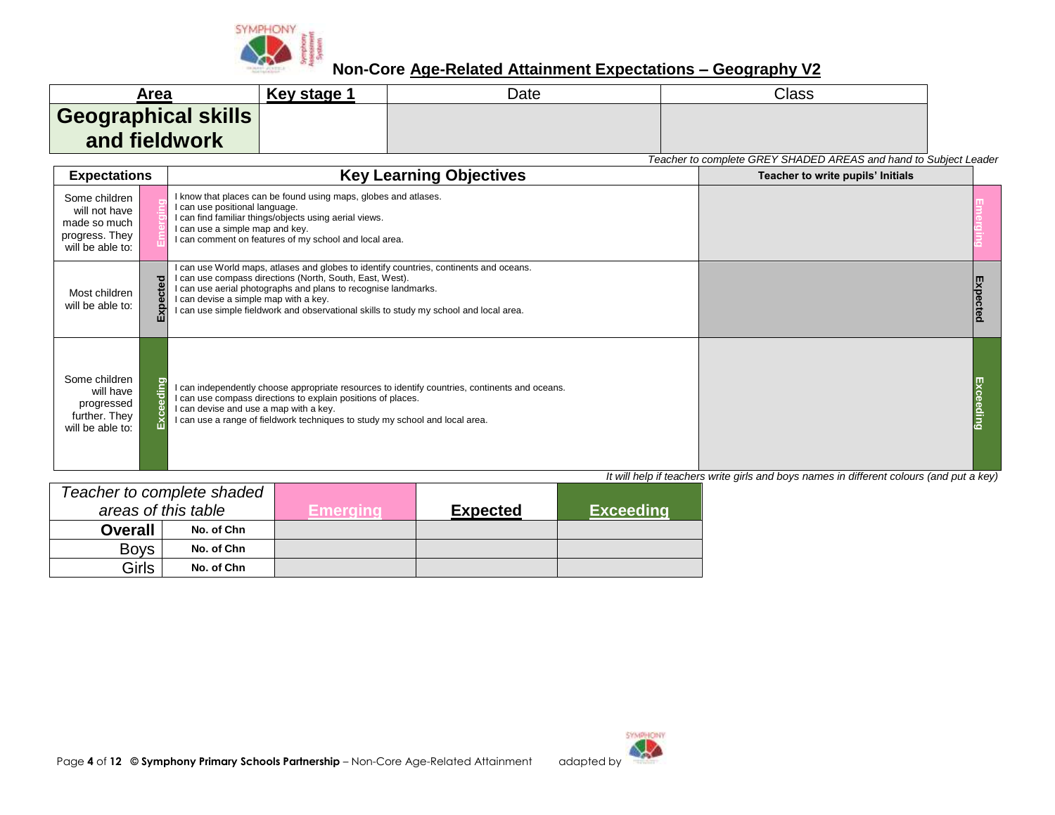

| Area                | Key stage 1 | Date | Class |
|---------------------|-------------|------|-------|
| Geographical skills |             |      |       |
| and fieldwork       |             |      |       |

*Teacher to complete GREY SHADED AREAS and hand to Subject Leader*

| <b>Expectations</b>                                                                  |                         | <b>Key Learning Objectives</b>                                                                                                                                                                                                                                                                                                                          | Teacher to write pupils' Initials |  |
|--------------------------------------------------------------------------------------|-------------------------|---------------------------------------------------------------------------------------------------------------------------------------------------------------------------------------------------------------------------------------------------------------------------------------------------------------------------------------------------------|-----------------------------------|--|
| Some children<br>will not have<br>made so much<br>progress. They<br>will be able to: |                         | I know that places can be found using maps, globes and atlases.<br>I can use positional language.<br>I can find familiar things/objects using aerial views.<br>I can use a simple map and key.<br>I can comment on features of my school and local area.                                                                                                |                                   |  |
| Most children<br>will be able to:                                                    | $\overline{\mathbf{c}}$ | I can use World maps, atlases and globes to identify countries, continents and oceans.<br>I can use compass directions (North, South, East, West).<br>I can use aerial photographs and plans to recognise landmarks.<br>I can devise a simple map with a key.<br>I can use simple fieldwork and observational skills to study my school and local area. |                                   |  |
| Some children<br>will have<br>progressed<br>further. They<br>will be able to:        |                         | I can independently choose appropriate resources to identify countries, continents and oceans.<br>I can use compass directions to explain positions of places.<br>I can devise and use a map with a key.<br>I can use a range of fieldwork techniques to study my school and local area.                                                                |                                   |  |

| Teacher to complete shaded |                     |           |                 |                  |
|----------------------------|---------------------|-----------|-----------------|------------------|
|                            | areas of this table | Emeraina' | <b>Expected</b> | <b>Exceeding</b> |
| <b>Overall</b>             | No. of Chn          |           |                 |                  |
| <b>Boys</b>                | No. of Chn          |           |                 |                  |
| Girls                      | No. of Chn          |           |                 |                  |

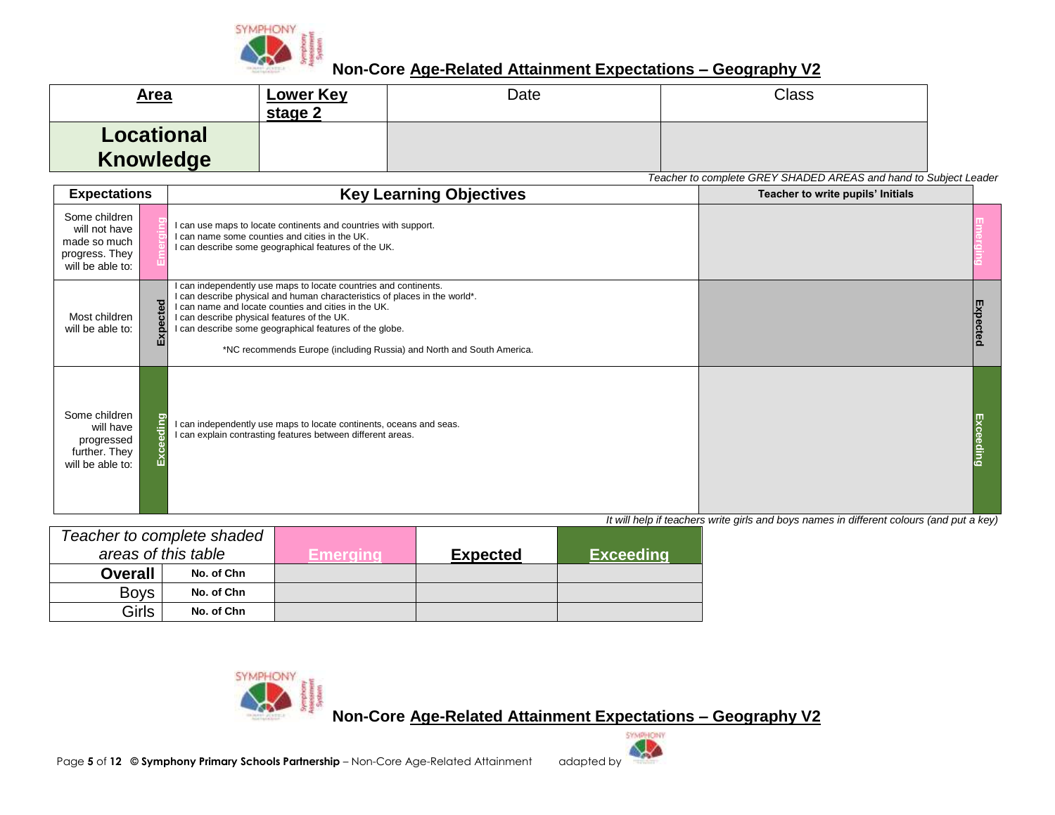

| <u>Area</u>                           | <b>Lower Key</b><br>stage 2 | Date | Class |
|---------------------------------------|-----------------------------|------|-------|
| <b>Locational</b><br><b>Knowledge</b> |                             |      |       |

*Teacher to complete GREY SHADED AREAS and hand to Subject Leader*

| <b>Expectations</b>                                                                  | <b>Key Learning Objectives</b>                                                                                                                                                                                                                                                                                                                                                                           | $\frac{1}{2}$ . The complete $\frac{1}{2}$ , $\frac{1}{2}$ , $\frac{1}{2}$ , $\frac{1}{2}$ , $\frac{1}{2}$ and nana to babloot<br>Teacher to write pupils' Initials |  |
|--------------------------------------------------------------------------------------|----------------------------------------------------------------------------------------------------------------------------------------------------------------------------------------------------------------------------------------------------------------------------------------------------------------------------------------------------------------------------------------------------------|---------------------------------------------------------------------------------------------------------------------------------------------------------------------|--|
| Some children<br>will not have<br>made so much<br>progress. They<br>will be able to: | I can use maps to locate continents and countries with support.<br>I can name some counties and cities in the UK.<br>I can describe some geographical features of the UK.                                                                                                                                                                                                                                |                                                                                                                                                                     |  |
| Most children<br>will be able to:                                                    | I can independently use maps to locate countries and continents.<br>I can describe physical and human characteristics of places in the world*.<br>pected<br>I can name and locate counties and cities in the UK.<br>I can describe physical features of the UK.<br>I can describe some geographical features of the globe.<br>ш<br>*NC recommends Europe (including Russia) and North and South America. |                                                                                                                                                                     |  |
| Some children<br>will have<br>progressed<br>further. They<br>will be able to:        | laing<br>I can independently use maps to locate continents, oceans and seas.<br>I can explain contrasting features between different areas.                                                                                                                                                                                                                                                              |                                                                                                                                                                     |  |

*It will help if teachers write girls and boys names in different colours (and put a key)*

| Teacher to complete shaded |            |                 |                 |                  |
|----------------------------|------------|-----------------|-----------------|------------------|
| areas of this table        |            | <b>Emerging</b> | <b>Expected</b> | <b>Exceeding</b> |
| <b>Overall</b>             | No. of Chn |                 |                 |                  |
| <b>Boys</b>                | No. of Chn |                 |                 |                  |
| Girls                      | No. of Chn |                 |                 |                  |

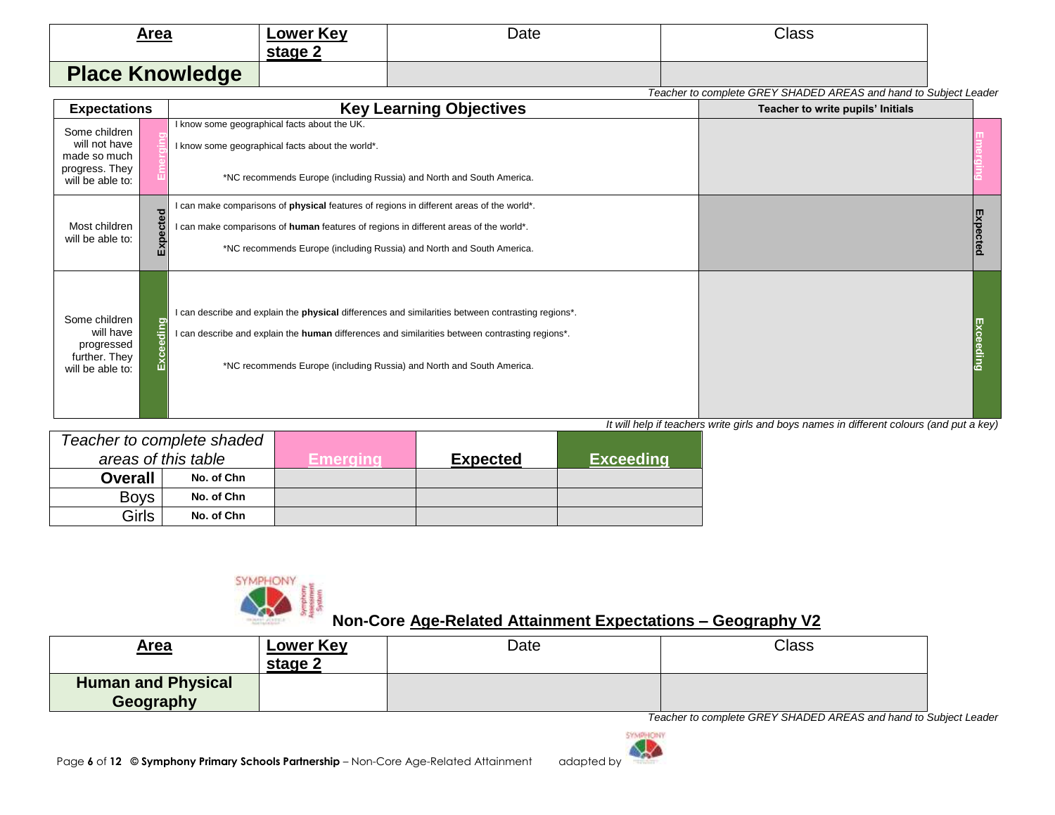| Area<br><u>recognized the contract of the contract of the contract of the contract of the contract of the contract of the contract of the contract of the contract of the contract of the contract of the contract of the contract of th</u> | <b>Lower Key</b><br>stage 2 | Date | Class |
|----------------------------------------------------------------------------------------------------------------------------------------------------------------------------------------------------------------------------------------------|-----------------------------|------|-------|
| <b>Place Knowledge</b>                                                                                                                                                                                                                       |                             |      |       |

*Teacher to complete GREY SHADED AREAS and hand to Subject Leader*

| <b>Expectations</b>                                                                  |           | <b>Key Learning Objectives</b>                                                                                                                                                                                                                                                               | Teacher to write pupils' Initials |             |
|--------------------------------------------------------------------------------------|-----------|----------------------------------------------------------------------------------------------------------------------------------------------------------------------------------------------------------------------------------------------------------------------------------------------|-----------------------------------|-------------|
| Some children<br>will not have<br>made so much<br>progress. They<br>will be able to: |           | I know some geographical facts about the UK.<br>I know some geographical facts about the world*.<br>*NC recommends Europe (including Russia) and North and South America.                                                                                                                    |                                   |             |
| Most children<br>will be able to:                                                    | Expected  | I can make comparisons of <b>physical</b> features of regions in different areas of the world*.<br>I can make comparisons of human features of regions in different areas of the world*.<br>*NC recommends Europe (including Russia) and North and South America.                            |                                   | pe          |
| Some children<br>will have<br>progressed<br>further. They<br>will be able to:        | Exceeding | I can describe and explain the <b>physical</b> differences and similarities between contrasting regions*.<br>I can describe and explain the <b>human</b> differences and similarities between contrasting regions*.<br>*NC recommends Europe (including Russia) and North and South America. |                                   | λČ<br>jalng |

*It will help if teachers write girls and boys names in different colours (and put a key)*

| Teacher to complete shaded |                     |          |                 |                  |
|----------------------------|---------------------|----------|-----------------|------------------|
|                            | areas of this table | Emeraina | <b>Expected</b> | <b>Exceeding</b> |
| <b>Overall</b>             | No. of Chn          |          |                 |                  |
| <b>Boys</b>                | No. of Chn          |          |                 |                  |
| Girls                      | No. of Chn          |          |                 |                  |



### **Non-Core Age-Related Attainment Expectations – Geography V2**

| <u>Area</u>                            | <b>Lower Key</b><br>stage 2 | Date | <b>Class</b> |
|----------------------------------------|-----------------------------|------|--------------|
| <b>Human and Physical</b><br>Geography |                             |      |              |

*Teacher to complete GREY SHADED AREAS and hand to Subject Leader*

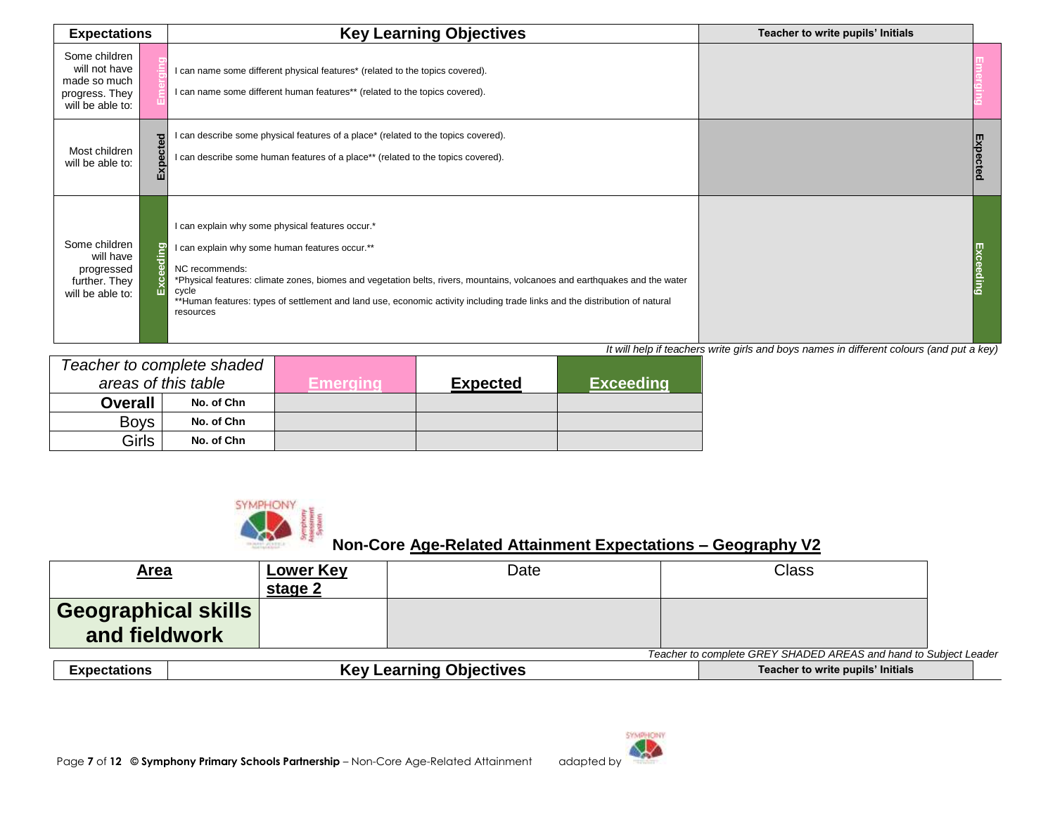| <b>Expectations</b>                                                                  |                         | <b>Key Learning Objectives</b>                                                                                                                                                                                                                                                                                                                                                                          | Teacher to write pupils' Initials |  |
|--------------------------------------------------------------------------------------|-------------------------|---------------------------------------------------------------------------------------------------------------------------------------------------------------------------------------------------------------------------------------------------------------------------------------------------------------------------------------------------------------------------------------------------------|-----------------------------------|--|
| Some children<br>will not have<br>made so much<br>progress. They<br>will be able to: |                         | I can name some different physical features* (related to the topics covered).<br>I can name some different human features** (related to the topics covered).                                                                                                                                                                                                                                            |                                   |  |
| Most children<br>will be able to:                                                    | cted<br><b>Pe</b><br>Εx | I can describe some physical features of a place* (related to the topics covered).<br>I can describe some human features of a place** (related to the topics covered).                                                                                                                                                                                                                                  |                                   |  |
| Some children<br>will have<br>progressed<br>further. They<br>will be able to:        | eding<br>ق<br>Ш         | I can explain why some physical features occur.*<br>I can explain why some human features occur.**<br>NC recommends:<br>*Physical features: climate zones, biomes and vegetation belts, rivers, mountains, volcanoes and earthquakes and the water<br>cycle<br>**Human features: types of settlement and land use, economic activity including trade links and the distribution of natural<br>resources |                                   |  |

| Teacher to complete shaded |                     |           |                 |                   |
|----------------------------|---------------------|-----------|-----------------|-------------------|
|                            | areas of this table | Emeraina' | <b>Expected</b> | <b>∖Exceeding</b> |
| <b>Overall</b>             | No. of Chn          |           |                 |                   |
| <b>Boys</b>                | No. of Chn          |           |                 |                   |
| Girls                      | No. of Chn          |           |                 |                   |



| <u>Area</u>                          | <b>Lower Key</b><br>stage 2 | Date                                                                      | Class                                                                                                                                                                                                                          |  |
|--------------------------------------|-----------------------------|---------------------------------------------------------------------------|--------------------------------------------------------------------------------------------------------------------------------------------------------------------------------------------------------------------------------|--|
| Geographical skills<br>and fieldwork |                             |                                                                           |                                                                                                                                                                                                                                |  |
|                                      |                             |                                                                           | Teacher to complete GREY SHADED AREAS and hand to Subject Leader                                                                                                                                                               |  |
| Formation of the season              |                             | $I_{\text{ext}}$ , $I_{\text{ext}}$ , $I_{\text{ext}}$ , $I_{\text{ext}}$ | the complete state of the complete state of the field of the field of the field of the field of the complete state of the field of the complete state of the complete state of the complete state of the complete state of the |  |

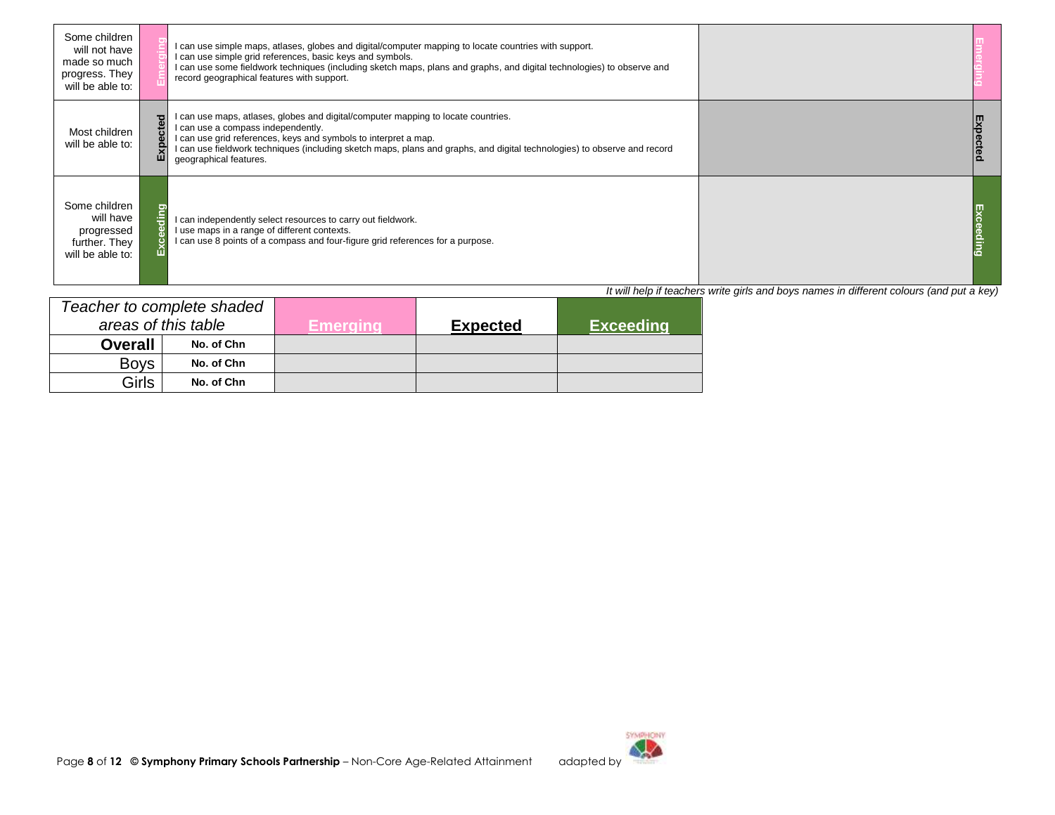| Some children<br>will not have<br>made so much<br>progress. They<br>will be able to: |   | I can use simple maps, atlases, globes and digital/computer mapping to locate countries with support.<br>I can use simple grid references, basic keys and symbols.<br>I can use some fieldwork techniques (including sketch maps, plans and graphs, and digital technologies) to observe and<br>record geographical features with support.       |                                                                                          |  |
|--------------------------------------------------------------------------------------|---|--------------------------------------------------------------------------------------------------------------------------------------------------------------------------------------------------------------------------------------------------------------------------------------------------------------------------------------------------|------------------------------------------------------------------------------------------|--|
| Most children<br>will be able to:                                                    | ш | I can use maps, atlases, globes and digital/computer mapping to locate countries.<br>I can use a compass independently.<br>I can use grid references, keys and symbols to interpret a map.<br>I can use fieldwork techniques (including sketch maps, plans and graphs, and digital technologies) to observe and record<br>geographical features. |                                                                                          |  |
| Some children<br>will have<br>progressed<br>further. They<br>will be able to:        |   | I can independently select resources to carry out fieldwork.<br>I use maps in a range of different contexts.<br>I can use 8 points of a compass and four-figure grid references for a purpose.                                                                                                                                                   | lt uill boln if tooghoro write airle ond hous nomes in different soloure (and nut o key) |  |

|                | Teacher to complete shaded |           |                 |                  |
|----------------|----------------------------|-----------|-----------------|------------------|
|                | areas of this table        | Emeraina' | <b>Expected</b> | <b>Exceeding</b> |
| <b>Overall</b> | No. of Chn                 |           |                 |                  |
| <b>Bovs</b>    | No. of Chn                 |           |                 |                  |
| <b>Girls</b>   | No. of Chn                 |           |                 |                  |

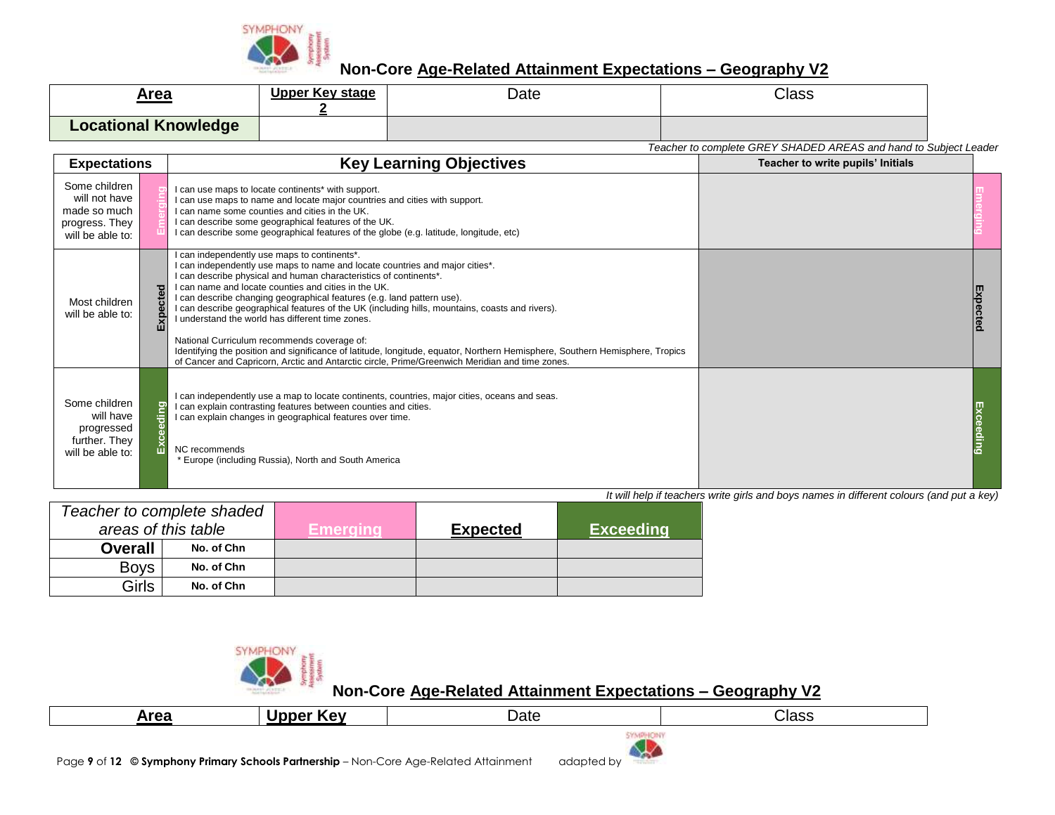

| Area                        | Upper Key stage | Date | Class                                                            |
|-----------------------------|-----------------|------|------------------------------------------------------------------|
| <b>Locational Knowledge</b> |                 |      |                                                                  |
|                             |                 |      | Teacher to complete GREY SHADED AREAS and hand to Subject Leader |

| <b>Expectations</b>                                                                  |           | <b>Key Learning Objectives</b>                                                                                                                                                                                                                                                                                                                                                                                                                                                                                                                                                                                                                                                                                                                                              | Teacher to write pupils' Initials |    |
|--------------------------------------------------------------------------------------|-----------|-----------------------------------------------------------------------------------------------------------------------------------------------------------------------------------------------------------------------------------------------------------------------------------------------------------------------------------------------------------------------------------------------------------------------------------------------------------------------------------------------------------------------------------------------------------------------------------------------------------------------------------------------------------------------------------------------------------------------------------------------------------------------------|-----------------------------------|----|
| Some children<br>will not have<br>made so much<br>progress. They<br>will be able to: |           | I can use maps to locate continents* with support.<br>I can use maps to name and locate major countries and cities with support.<br>I can name some counties and cities in the UK.<br>I can describe some geographical features of the UK.<br>I can describe some geographical features of the globe (e.g. latitude, longitude, etc)                                                                                                                                                                                                                                                                                                                                                                                                                                        |                                   |    |
| Most children<br>will be able to:                                                    | Expected  | I can independently use maps to continents*.<br>I can independently use maps to name and locate countries and major cities*.<br>I can describe physical and human characteristics of continents*.<br>I can name and locate counties and cities in the UK.<br>I can describe changing geographical features (e.g. land pattern use).<br>I can describe geographical features of the UK (including hills, mountains, coasts and rivers).<br>I understand the world has different time zones.<br>National Curriculum recommends coverage of:<br>Identifying the position and significance of latitude, longitude, equator, Northern Hemisphere, Southern Hemisphere, Tropics<br>of Cancer and Capricorn, Arctic and Antarctic circle, Prime/Greenwich Meridian and time zones. |                                   | ĘX |
| Some children<br>will have<br>progressed<br>further. They<br>will be able to:        | Exceeding | I can independently use a map to locate continents, countries, major cities, oceans and seas.<br>I can explain contrasting features between counties and cities.<br>I can explain changes in geographical features over time.<br>NC recommends<br>* Europe (including Russia), North and South America                                                                                                                                                                                                                                                                                                                                                                                                                                                                      |                                   |    |

*It will help if teachers write girls and boys names in different colours (and put a key)*

|                | Teacher to complete shaded |          |                 |                  |
|----------------|----------------------------|----------|-----------------|------------------|
|                | areas of this table        | Emeraina | <b>Expected</b> | <b>Exceeding</b> |
| <b>Overall</b> | No. of Chn                 |          |                 |                  |
| <b>Boys</b>    | No. of Chn                 |          |                 |                  |
| Girls          | No. of Chn                 |          |                 |                  |



| Area | ٠Δ٧<br>. | -<br>Date | Class |
|------|----------|-----------|-------|
|      |          |           |       |

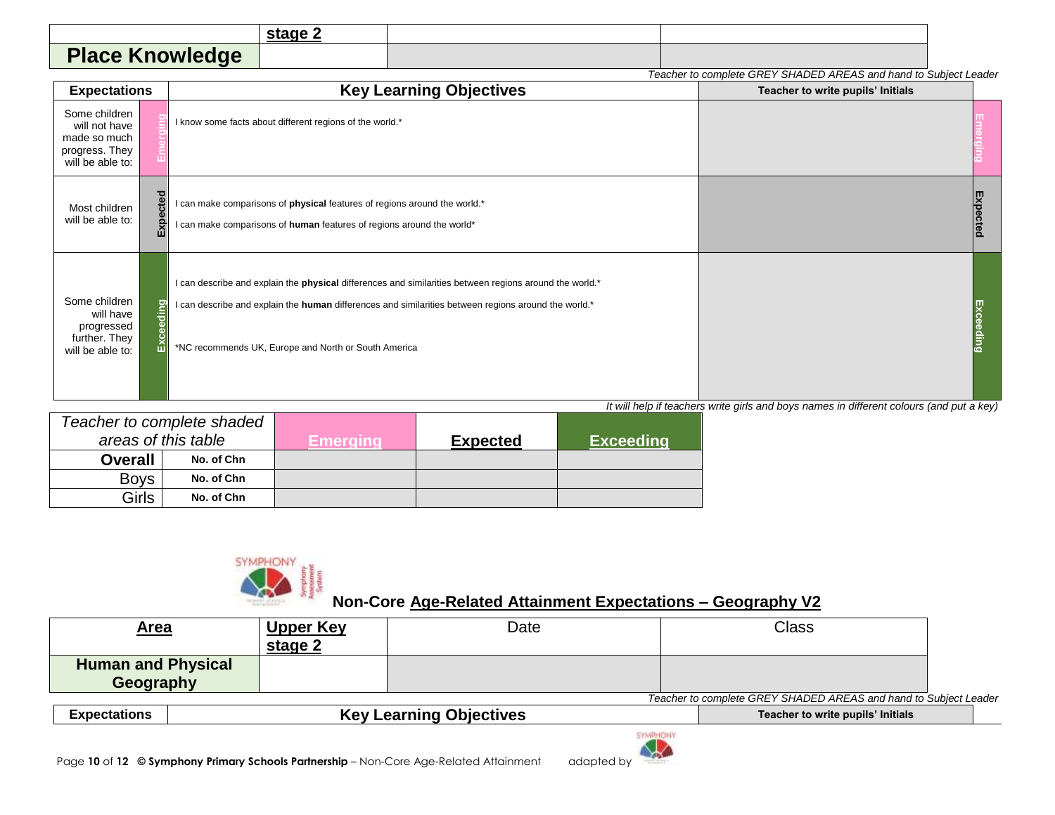|                        | stage 2 |  |
|------------------------|---------|--|
| <b>Place Knowledge</b> |         |  |

|                                                                                      | Teacher to complete GREY SHADED AREAS and hand to Subject Leader |                                                                                                                                                                                                                                                                         |                                   |                     |  |  |  |
|--------------------------------------------------------------------------------------|------------------------------------------------------------------|-------------------------------------------------------------------------------------------------------------------------------------------------------------------------------------------------------------------------------------------------------------------------|-----------------------------------|---------------------|--|--|--|
| <b>Expectations</b>                                                                  |                                                                  | <b>Key Learning Objectives</b>                                                                                                                                                                                                                                          | Teacher to write pupils' Initials |                     |  |  |  |
| Some children<br>will not have<br>made so much<br>progress. They<br>will be able to: |                                                                  | I know some facts about different regions of the world.*                                                                                                                                                                                                                |                                   |                     |  |  |  |
| Most children<br>will be able to:                                                    | Expected                                                         | I can make comparisons of physical features of regions around the world.*<br>I can make comparisons of human features of regions around the world*                                                                                                                      |                                   | ш<br>cted           |  |  |  |
| Some children<br>will have<br>progressed<br>further. They<br>will be able to:        | eding<br>Exce                                                    | I can describe and explain the physical differences and similarities between regions around the world.*<br>I can describe and explain the human differences and similarities between regions around the world.*<br>*NC recommends UK, Europe and North or South America |                                   | Exc<br><b>Sqing</b> |  |  |  |

|                | Teacher to complete shaded |          |                 |                  |
|----------------|----------------------------|----------|-----------------|------------------|
|                | areas of this table        | Emeraina | <b>Expected</b> | <b>Exceeding</b> |
| <b>Overall</b> | No. of Chn                 |          |                 |                  |
| <b>Boys</b>    | No. of Chn                 |          |                 |                  |
| Girls          | No. of Chn                 |          |                 |                  |



| <u>Area</u>                                           | <b>Upper Key</b><br>stage 2 | Date |                                                                  | <b>Class</b> |  |
|-------------------------------------------------------|-----------------------------|------|------------------------------------------------------------------|--------------|--|
| <b>Human and Physical</b><br>Geography                |                             |      |                                                                  |              |  |
|                                                       |                             |      | Teacher to complete GREY SHADED AREAS and hand to Subject Leader |              |  |
| <b>Key Learning Objectives</b><br><b>Expectations</b> |                             |      | Teacher to write pupils' Initials                                |              |  |

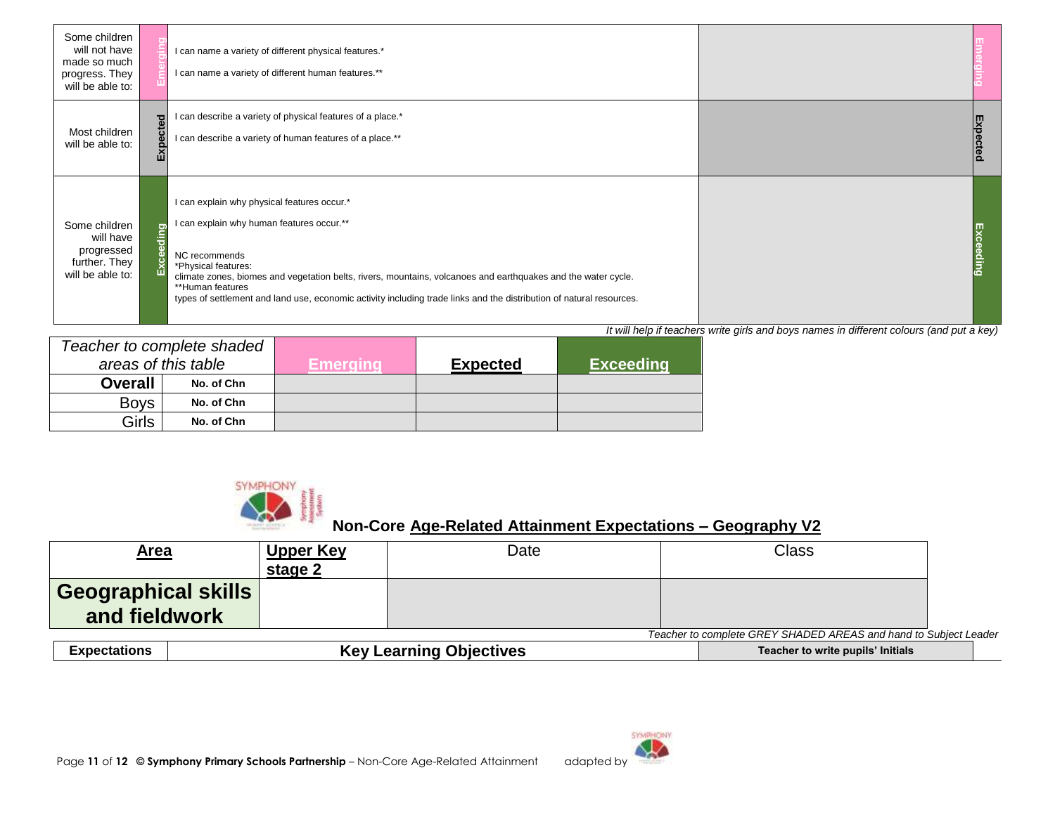| Some children<br>will not have<br>made so much<br>progress. They<br>will be able to: |   | I can name a variety of different physical features.*<br>I can name a variety of different human features.**                                                                                                                                                                                                                                                                                  |          |
|--------------------------------------------------------------------------------------|---|-----------------------------------------------------------------------------------------------------------------------------------------------------------------------------------------------------------------------------------------------------------------------------------------------------------------------------------------------------------------------------------------------|----------|
| Most children<br>will be able to:                                                    | ш | I can describe a variety of physical features of a place.*<br>I can describe a variety of human features of a place.**                                                                                                                                                                                                                                                                        | Expected |
| Some children<br>will have<br>progressed<br>further. They<br>will be able to:        |   | I can explain why physical features occur.*<br>I can explain why human features occur.**<br>NC recommends<br>*Physical features:<br>climate zones, biomes and vegetation belts, rivers, mountains, volcanoes and earthquakes and the water cycle.<br>**Human features<br>types of settlement and land use, economic activity including trade links and the distribution of natural resources. |          |

|                | Teacher to complete shaded |          |                 |                  |
|----------------|----------------------------|----------|-----------------|------------------|
|                | areas of this table        | Emeraina | <b>Expected</b> | <b>Exceeding</b> |
| <b>Overall</b> | No. of Chn                 |          |                 |                  |
| <b>Boys</b>    | No. of Chn                 |          |                 |                  |
| Girls          | No. of Chn                 |          |                 |                  |



| <u>Area</u>                                                      |  | <u>Upper Key</u><br>stage 2 | Date                           |  | Class                             |  |  |
|------------------------------------------------------------------|--|-----------------------------|--------------------------------|--|-----------------------------------|--|--|
| Geographical skills<br>and fieldwork                             |  |                             |                                |  |                                   |  |  |
| Teacher to complete GREY SHADED AREAS and hand to Subject Leader |  |                             |                                |  |                                   |  |  |
| <b>Expectations</b>                                              |  |                             | <b>Key Learning Objectives</b> |  | Teacher to write pupils' Initials |  |  |